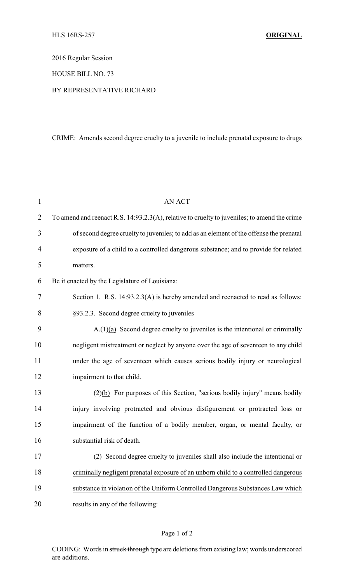2016 Regular Session

HOUSE BILL NO. 73

## BY REPRESENTATIVE RICHARD

## CRIME: Amends second degree cruelty to a juvenile to include prenatal exposure to drugs

| $\mathbf{1}$   | <b>AN ACT</b>                                                                                 |
|----------------|-----------------------------------------------------------------------------------------------|
| $\overline{2}$ | To amend and reenact R.S. 14:93.2.3(A), relative to cruelty to juveniles; to amend the crime  |
| 3              | of second degree cruelty to juveniles; to add as an element of the offense the prenatal       |
| $\overline{4}$ | exposure of a child to a controlled dangerous substance; and to provide for related           |
| 5              | matters.                                                                                      |
| 6              | Be it enacted by the Legislature of Louisiana:                                                |
| 7              | Section 1. R.S. 14:93.2.3(A) is hereby amended and reenacted to read as follows:              |
| 8              | §93.2.3. Second degree cruelty to juveniles                                                   |
| 9              | $A(1)(a)$ Second degree cruelty to juveniles is the intentional or criminally                 |
| 10             | negligent mistreatment or neglect by anyone over the age of seventeen to any child            |
| 11             | under the age of seventeen which causes serious bodily injury or neurological                 |
| 12             | impairment to that child.                                                                     |
| 13             | $\left(\frac{2}{2}\right)$ For purposes of this Section, "serious bodily injury" means bodily |
| 14             | injury involving protracted and obvious disfigurement or protracted loss or                   |
| 15             | impairment of the function of a bodily member, organ, or mental faculty, or                   |
| 16             | substantial risk of death.                                                                    |
| 17             | (2) Second degree cruelty to juveniles shall also include the intentional or                  |
| 18             | criminally negligent prenatal exposure of an unborn child to a controlled dangerous           |
| 19             | substance in violation of the Uniform Controlled Dangerous Substances Law which               |
| 20             | results in any of the following:                                                              |

CODING: Words in struck through type are deletions from existing law; words underscored are additions.